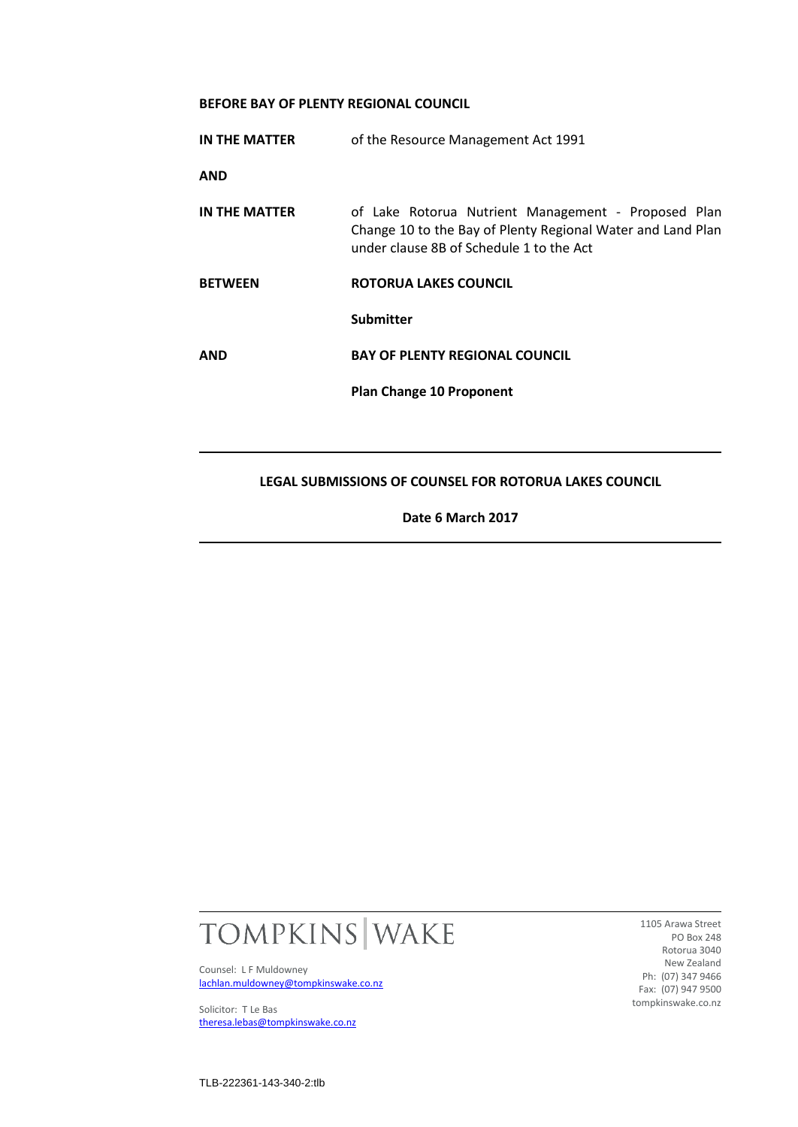# **BEFORE BAY OF PLENTY REGIONAL COUNCIL**

|                | <b>Plan Change 10 Proponent</b>                                                                                                                                |
|----------------|----------------------------------------------------------------------------------------------------------------------------------------------------------------|
| <b>AND</b>     | <b>Submitter</b><br><b>BAY OF PLENTY REGIONAL COUNCIL</b>                                                                                                      |
| <b>BETWEEN</b> | ROTORUA LAKES COUNCIL                                                                                                                                          |
| IN THE MATTER  | of Lake Rotorua Nutrient Management - Proposed Plan<br>Change 10 to the Bay of Plenty Regional Water and Land Plan<br>under clause 8B of Schedule 1 to the Act |
| <b>AND</b>     |                                                                                                                                                                |
| IN THE MATTER  | of the Resource Management Act 1991                                                                                                                            |

**Date 6 March 2017**



Counsel: L F Muldowney [lachlan.muldowney@tompkinswake.co.nz](mailto:lachlan.muldowney@tompkinswake.co.nz)

Solicitor: T Le Bas [theresa.lebas@tompkinswake.co.nz](mailto:theresa.lebas@tompkinswake.co.nz)

1105 Arawa Street PO Box 248 Rotorua 3040 New Zealand Ph: (07) 347 9466 Fax: (07) 947 9500 tompkinswake.co.nz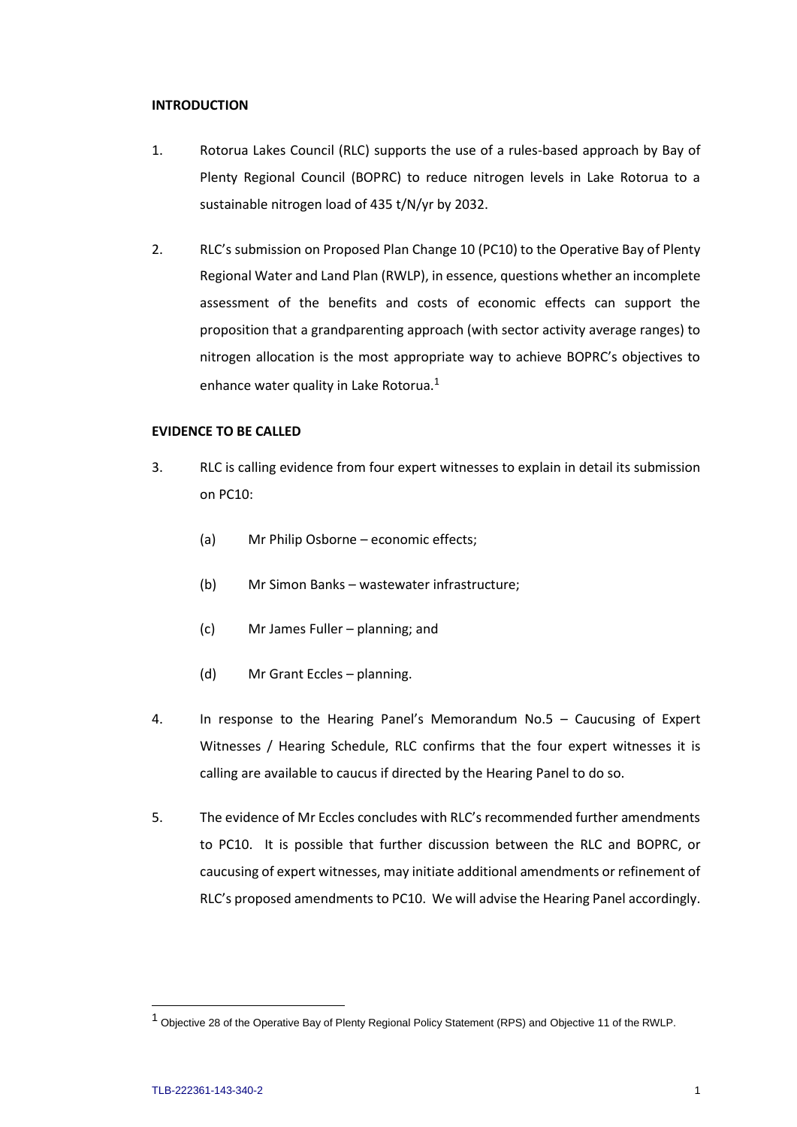### **INTRODUCTION**

- 1. Rotorua Lakes Council (RLC) supports the use of a rules-based approach by Bay of Plenty Regional Council (BOPRC) to reduce nitrogen levels in Lake Rotorua to a sustainable nitrogen load of 435 t/N/yr by 2032.
- 2. RLC's submission on Proposed Plan Change 10 (PC10) to the Operative Bay of Plenty Regional Water and Land Plan (RWLP), in essence, questions whether an incomplete assessment of the benefits and costs of economic effects can support the proposition that a grandparenting approach (with sector activity average ranges) to nitrogen allocation is the most appropriate way to achieve BOPRC's objectives to enhance water quality in Lake Rotorua.<sup>1</sup>

# **EVIDENCE TO BE CALLED**

- 3. RLC is calling evidence from four expert witnesses to explain in detail its submission on PC10:
	- (a) Mr Philip Osborne economic effects;
	- (b) Mr Simon Banks wastewater infrastructure;
	- (c) Mr James Fuller planning; and
	- (d) Mr Grant Eccles planning.
- 4. In response to the Hearing Panel's Memorandum No.5 Caucusing of Expert Witnesses / Hearing Schedule, RLC confirms that the four expert witnesses it is calling are available to caucus if directed by the Hearing Panel to do so.
- 5. The evidence of Mr Eccles concludes with RLC's recommended further amendments to PC10. It is possible that further discussion between the RLC and BOPRC, or caucusing of expert witnesses, may initiate additional amendments or refinement of RLC's proposed amendments to PC10. We will advise the Hearing Panel accordingly.

<sup>&</sup>lt;sup>1</sup> Objective 28 of the Operative Bay of Plenty Regional Policy Statement (RPS) and Objective 11 of the RWLP.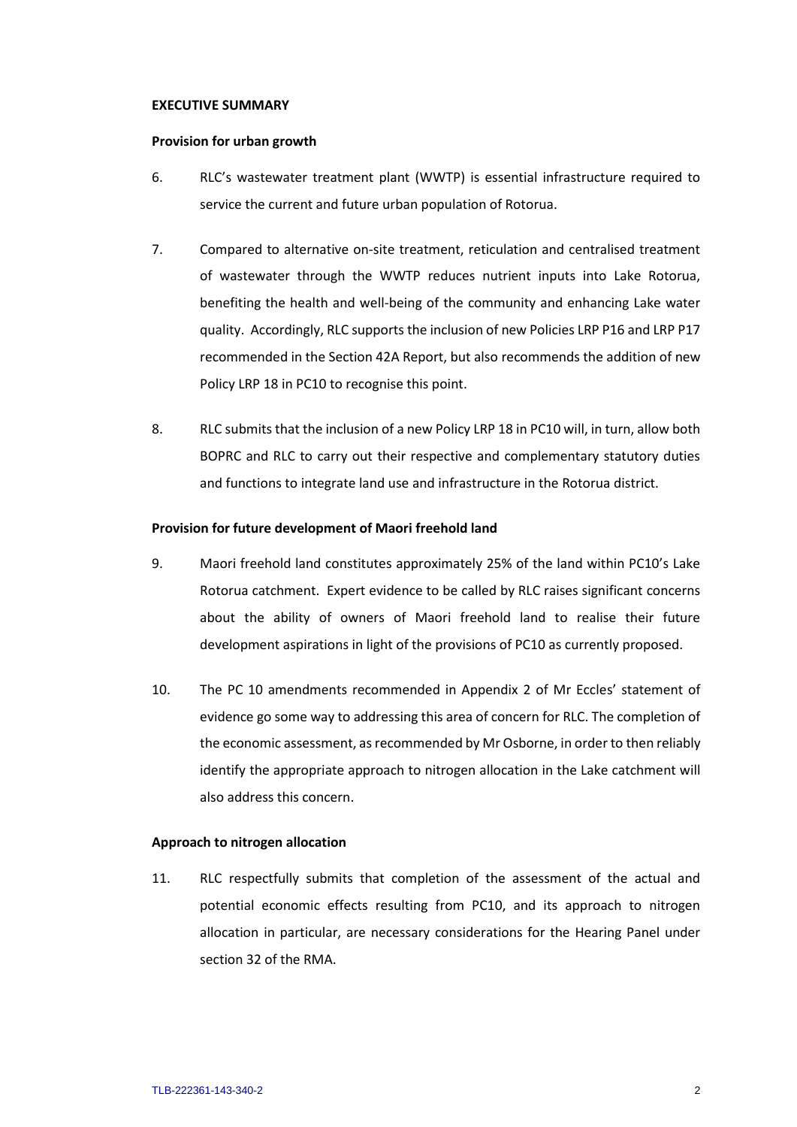### **EXECUTIVE SUMMARY**

### **Provision for urban growth**

- 6. RLC's wastewater treatment plant (WWTP) is essential infrastructure required to service the current and future urban population of Rotorua.
- 7. Compared to alternative on-site treatment, reticulation and centralised treatment of wastewater through the WWTP reduces nutrient inputs into Lake Rotorua, benefiting the health and well-being of the community and enhancing Lake water quality. Accordingly, RLC supports the inclusion of new Policies LRP P16 and LRP P17 recommended in the Section 42A Report, but also recommends the addition of new Policy LRP 18 in PC10 to recognise this point.
- 8. RLC submits that the inclusion of a new Policy LRP 18 in PC10 will, in turn, allow both BOPRC and RLC to carry out their respective and complementary statutory duties and functions to integrate land use and infrastructure in the Rotorua district.

# **Provision for future development of Maori freehold land**

- 9. Maori freehold land constitutes approximately 25% of the land within PC10's Lake Rotorua catchment. Expert evidence to be called by RLC raises significant concerns about the ability of owners of Maori freehold land to realise their future development aspirations in light of the provisions of PC10 as currently proposed.
- 10. The PC 10 amendments recommended in Appendix 2 of Mr Eccles' statement of evidence go some way to addressing this area of concern for RLC. The completion of the economic assessment, as recommended by Mr Osborne, in order to then reliably identify the appropriate approach to nitrogen allocation in the Lake catchment will also address this concern.

# **Approach to nitrogen allocation**

11. RLC respectfully submits that completion of the assessment of the actual and potential economic effects resulting from PC10, and its approach to nitrogen allocation in particular, are necessary considerations for the Hearing Panel under section 32 of the RMA.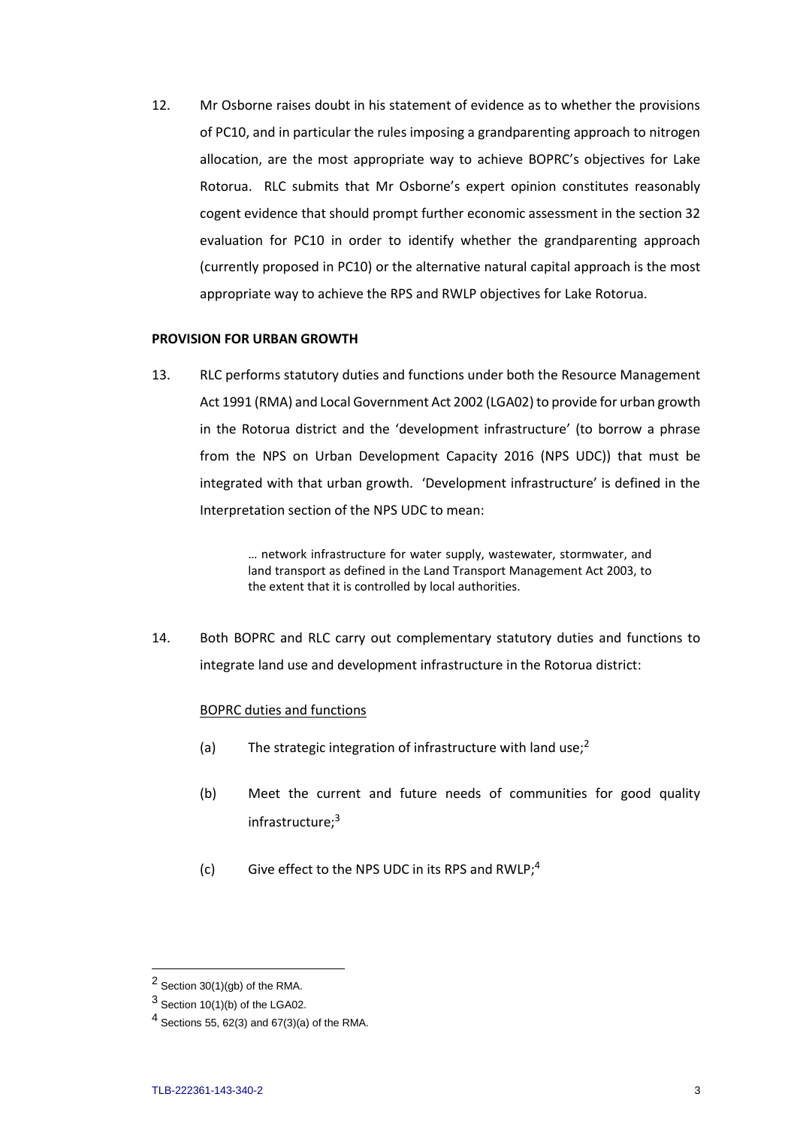12. Mr Osborne raises doubt in his statement of evidence as to whether the provisions of PC10, and in particular the rules imposing a grandparenting approach to nitrogen allocation, are the most appropriate way to achieve BOPRC's objectives for Lake Rotorua. RLC submits that Mr Osborne's expert opinion constitutes reasonably cogent evidence that should prompt further economic assessment in the section 32 evaluation for PC10 in order to identify whether the grandparenting approach (currently proposed in PC10) or the alternative natural capital approach is the most appropriate way to achieve the RPS and RWLP objectives for Lake Rotorua.

### **PROVISION FOR URBAN GROWTH**

13. RLC performs statutory duties and functions under both the Resource Management Act 1991 (RMA) and Local Government Act 2002 (LGA02) to provide for urban growth in the Rotorua district and the 'development infrastructure' (to borrow a phrase from the NPS on Urban Development Capacity 2016 (NPS UDC)) that must be integrated with that urban growth. 'Development infrastructure' is defined in the Interpretation section of the NPS UDC to mean:

> … network infrastructure for water supply, wastewater, stormwater, and land transport as defined in the Land Transport Management Act 2003, to the extent that it is controlled by local authorities.

14. Both BOPRC and RLC carry out complementary statutory duties and functions to integrate land use and development infrastructure in the Rotorua district:

# BOPRC duties and functions

- (a) The strategic integration of infrastructure with land use;<sup>2</sup>
- (b) Meet the current and future needs of communities for good quality infrastructure;<sup>3</sup>
- (c) Give effect to the NPS UDC in its RPS and RWLP;<sup>4</sup>

<sup>2</sup> Section 30(1)(gb) of the RMA.

 $3$  Section 10(1)(b) of the LGA02.

 $4$  Sections 55, 62(3) and 67(3)(a) of the RMA.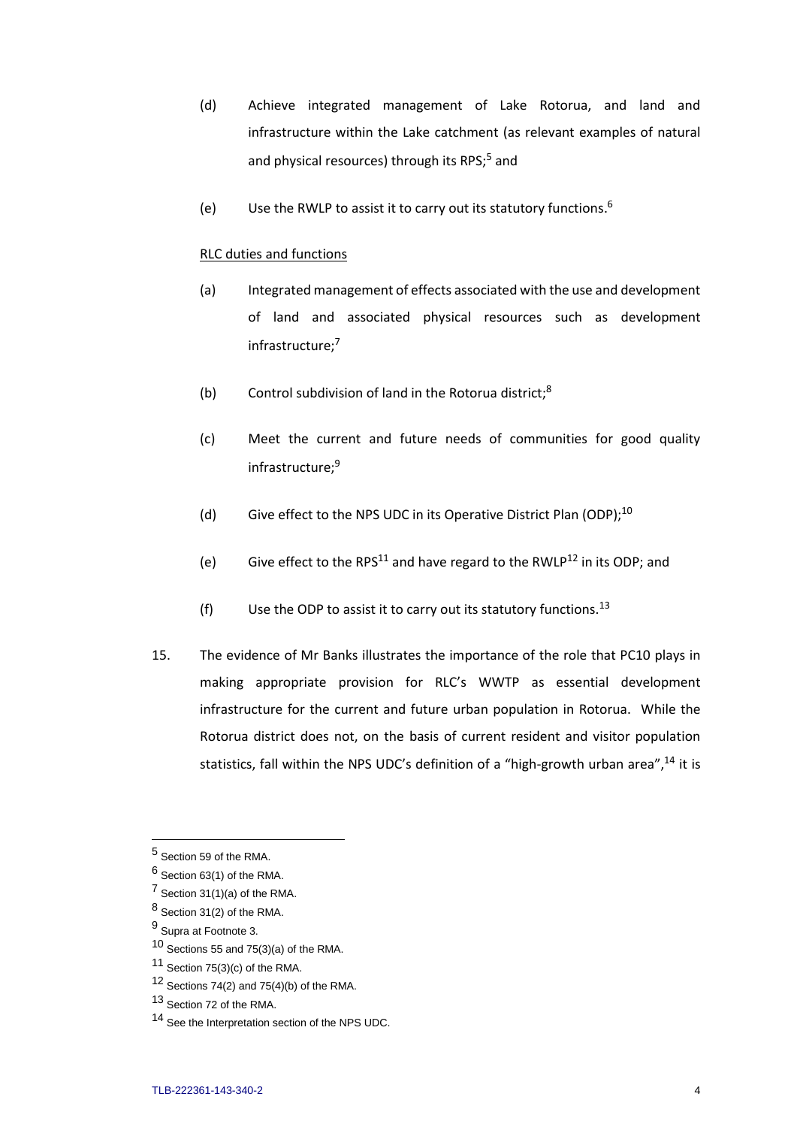- (d) Achieve integrated management of Lake Rotorua, and land and infrastructure within the Lake catchment (as relevant examples of natural and physical resources) through its RPS;<sup>5</sup> and
- (e) Use the RWLP to assist it to carry out its statutory functions.<sup>6</sup>

### RLC duties and functions

- (a) Integrated management of effects associated with the use and development of land and associated physical resources such as development infrastructure;<sup>7</sup>
- (b) Control subdivision of land in the Rotorua district;<sup>8</sup>
- (c) Meet the current and future needs of communities for good quality infrastructure;<sup>9</sup>
- (d) Give effect to the NPS UDC in its Operative District Plan (ODP);<sup>10</sup>
- (e) Give effect to the RPS<sup>11</sup> and have regard to the RWLP<sup>12</sup> in its ODP; and
- (f) Use the ODP to assist it to carry out its statutory functions.<sup>13</sup>
- 15. The evidence of Mr Banks illustrates the importance of the role that PC10 plays in making appropriate provision for RLC's WWTP as essential development infrastructure for the current and future urban population in Rotorua. While the Rotorua district does not, on the basis of current resident and visitor population statistics, fall within the NPS UDC's definition of a "high-growth urban area",<sup>14</sup> it is

<sup>5</sup> Section 59 of the RMA.

<sup>6</sup> Section 63(1) of the RMA.

 $7$  Section 31(1)(a) of the RMA.

 $8$  Section 31(2) of the RMA.

<sup>9</sup> Supra at Footnote 3.

 $10$  Sections 55 and 75(3)(a) of the RMA.

 $11$  Section 75(3)(c) of the RMA.

 $12$  Sections 74(2) and 75(4)(b) of the RMA.

<sup>13</sup> Section 72 of the RMA.

<sup>14</sup> See the Interpretation section of the NPS UDC.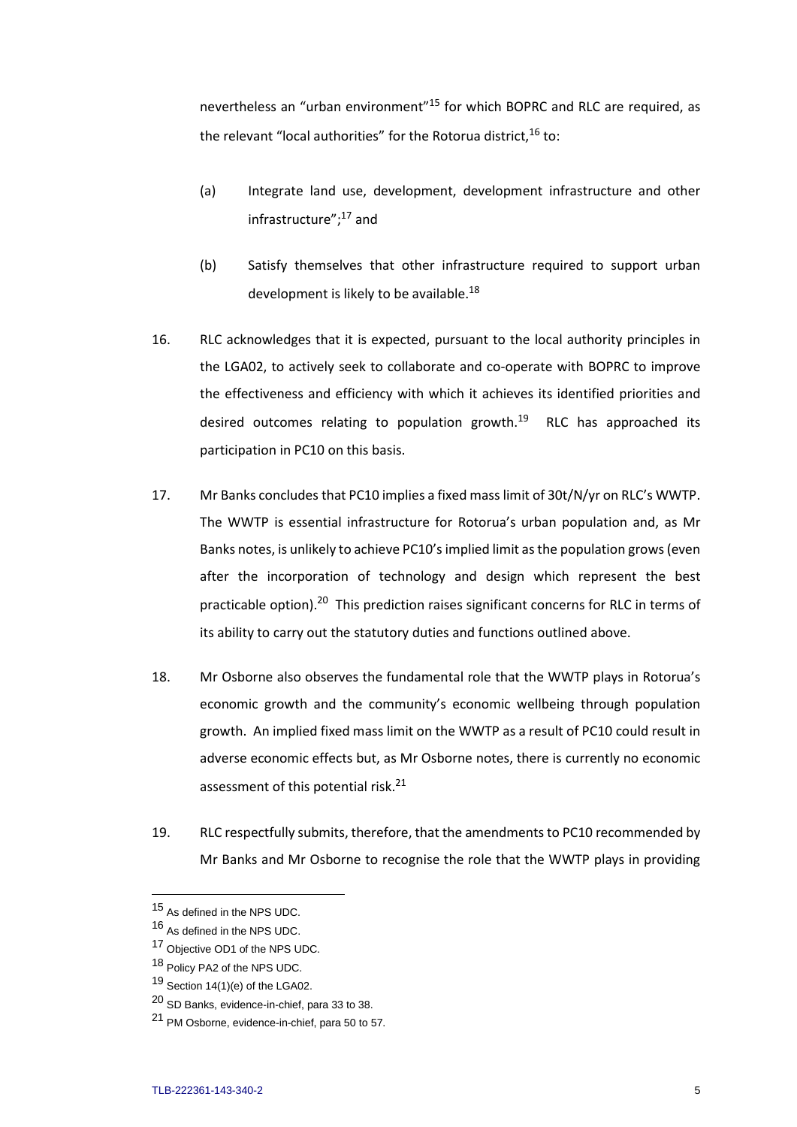nevertheless an "urban environment"<sup>15</sup> for which BOPRC and RLC are required, as the relevant "local authorities" for the Rotorua district,  $16$  to:

- (a) Integrate land use, development, development infrastructure and other infrastructure";<sup>17</sup> and
- (b) Satisfy themselves that other infrastructure required to support urban development is likely to be available.<sup>18</sup>
- 16. RLC acknowledges that it is expected, pursuant to the local authority principles in the LGA02, to actively seek to collaborate and co-operate with BOPRC to improve the effectiveness and efficiency with which it achieves its identified priorities and desired outcomes relating to population growth.<sup>19</sup> RLC has approached its participation in PC10 on this basis.
- 17. Mr Banks concludes that PC10 implies a fixed mass limit of 30t/N/yr on RLC's WWTP. The WWTP is essential infrastructure for Rotorua's urban population and, as Mr Banks notes, is unlikely to achieve PC10'simplied limit as the population grows (even after the incorporation of technology and design which represent the best practicable option).<sup>20</sup> This prediction raises significant concerns for RLC in terms of its ability to carry out the statutory duties and functions outlined above.
- 18. Mr Osborne also observes the fundamental role that the WWTP plays in Rotorua's economic growth and the community's economic wellbeing through population growth. An implied fixed mass limit on the WWTP as a result of PC10 could result in adverse economic effects but, as Mr Osborne notes, there is currently no economic assessment of this potential risk.<sup>21</sup>
- 19. RLC respectfully submits, therefore, that the amendments to PC10 recommended by Mr Banks and Mr Osborne to recognise the role that the WWTP plays in providing

<sup>15</sup> As defined in the NPS UDC.

<sup>16</sup> As defined in the NPS UDC.

<sup>17</sup> Objective OD1 of the NPS UDC.

<sup>18</sup> Policy PA2 of the NPS UDC.

 $19$  Section 14(1)(e) of the LGA02.

<sup>20</sup> SD Banks, evidence-in-chief, para 33 to 38.

<sup>21</sup> PM Osborne, evidence-in-chief, para 50 to 57.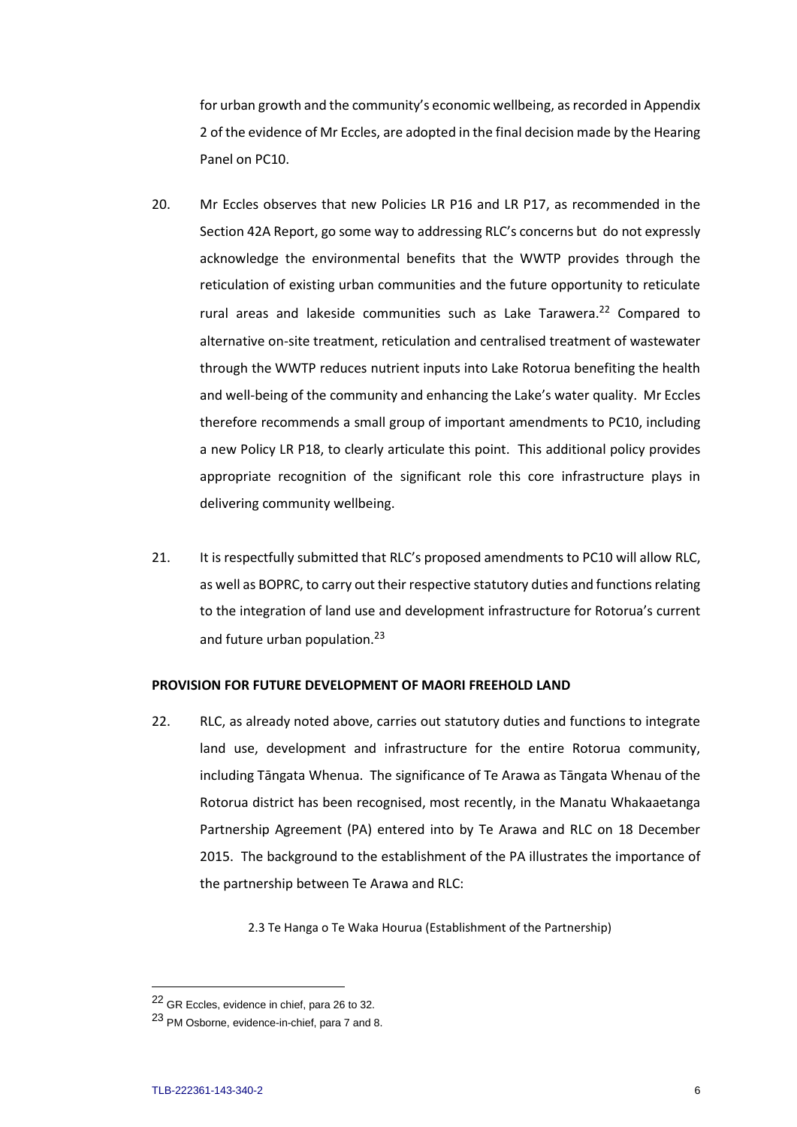for urban growth and the community's economic wellbeing, as recorded in Appendix 2 of the evidence of Mr Eccles, are adopted in the final decision made by the Hearing Panel on PC10.

- 20. Mr Eccles observes that new Policies LR P16 and LR P17, as recommended in the Section 42A Report, go some way to addressing RLC's concerns but do not expressly acknowledge the environmental benefits that the WWTP provides through the reticulation of existing urban communities and the future opportunity to reticulate rural areas and lakeside communities such as Lake Tarawera.<sup>22</sup> Compared to alternative on-site treatment, reticulation and centralised treatment of wastewater through the WWTP reduces nutrient inputs into Lake Rotorua benefiting the health and well-being of the community and enhancing the Lake's water quality. Mr Eccles therefore recommends a small group of important amendments to PC10, including a new Policy LR P18, to clearly articulate this point. This additional policy provides appropriate recognition of the significant role this core infrastructure plays in delivering community wellbeing.
- 21. It is respectfully submitted that RLC's proposed amendments to PC10 will allow RLC, as well as BOPRC, to carry out their respective statutory duties and functions relating to the integration of land use and development infrastructure for Rotorua's current and future urban population.<sup>23</sup>

### **PROVISION FOR FUTURE DEVELOPMENT OF MAORI FREEHOLD LAND**

22. RLC, as already noted above, carries out statutory duties and functions to integrate land use, development and infrastructure for the entire Rotorua community, including Tāngata Whenua. The significance of Te Arawa as Tāngata Whenau of the Rotorua district has been recognised, most recently, in the Manatu Whakaaetanga Partnership Agreement (PA) entered into by Te Arawa and RLC on 18 December 2015. The background to the establishment of the PA illustrates the importance of the partnership between Te Arawa and RLC:

2.3 Te Hanga o Te Waka Hourua (Establishment of the Partnership)

<sup>22</sup> GR Eccles, evidence in chief, para 26 to 32.

<sup>23</sup> PM Osborne, evidence-in-chief, para 7 and 8.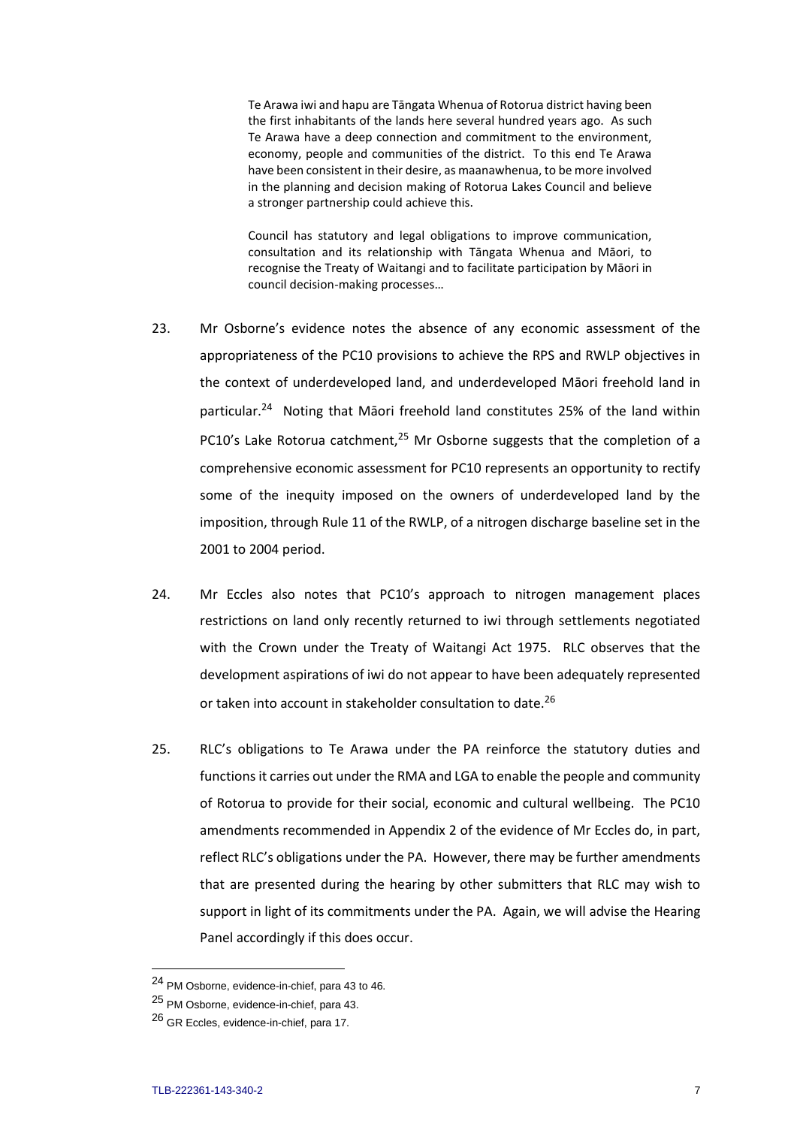Te Arawa iwi and hapu are Tāngata Whenua of Rotorua district having been the first inhabitants of the lands here several hundred years ago. As such Te Arawa have a deep connection and commitment to the environment, economy, people and communities of the district. To this end Te Arawa have been consistent in their desire, as maanawhenua, to be more involved in the planning and decision making of Rotorua Lakes Council and believe a stronger partnership could achieve this.

Council has statutory and legal obligations to improve communication, consultation and its relationship with Tāngata Whenua and Māori, to recognise the Treaty of Waitangi and to facilitate participation by Māori in council decision-making processes…

- 23. Mr Osborne's evidence notes the absence of any economic assessment of the appropriateness of the PC10 provisions to achieve the RPS and RWLP objectives in the context of underdeveloped land, and underdeveloped Māori freehold land in particular.<sup>24</sup> Noting that Māori freehold land constitutes 25% of the land within PC10's Lake Rotorua catchment.<sup>25</sup> Mr Osborne suggests that the completion of a comprehensive economic assessment for PC10 represents an opportunity to rectify some of the inequity imposed on the owners of underdeveloped land by the imposition, through Rule 11 of the RWLP, of a nitrogen discharge baseline set in the 2001 to 2004 period.
- 24. Mr Eccles also notes that PC10's approach to nitrogen management places restrictions on land only recently returned to iwi through settlements negotiated with the Crown under the Treaty of Waitangi Act 1975. RLC observes that the development aspirations of iwi do not appear to have been adequately represented or taken into account in stakeholder consultation to date.<sup>26</sup>
- 25. RLC's obligations to Te Arawa under the PA reinforce the statutory duties and functions it carries out under the RMA and LGA to enable the people and community of Rotorua to provide for their social, economic and cultural wellbeing. The PC10 amendments recommended in Appendix 2 of the evidence of Mr Eccles do, in part, reflect RLC's obligations under the PA. However, there may be further amendments that are presented during the hearing by other submitters that RLC may wish to support in light of its commitments under the PA. Again, we will advise the Hearing Panel accordingly if this does occur.

<sup>24</sup> PM Osborne, evidence-in-chief, para 43 to 46.

<sup>25</sup> PM Osborne, evidence-in-chief, para 43.

<sup>26</sup> GR Eccles, evidence-in-chief, para 17.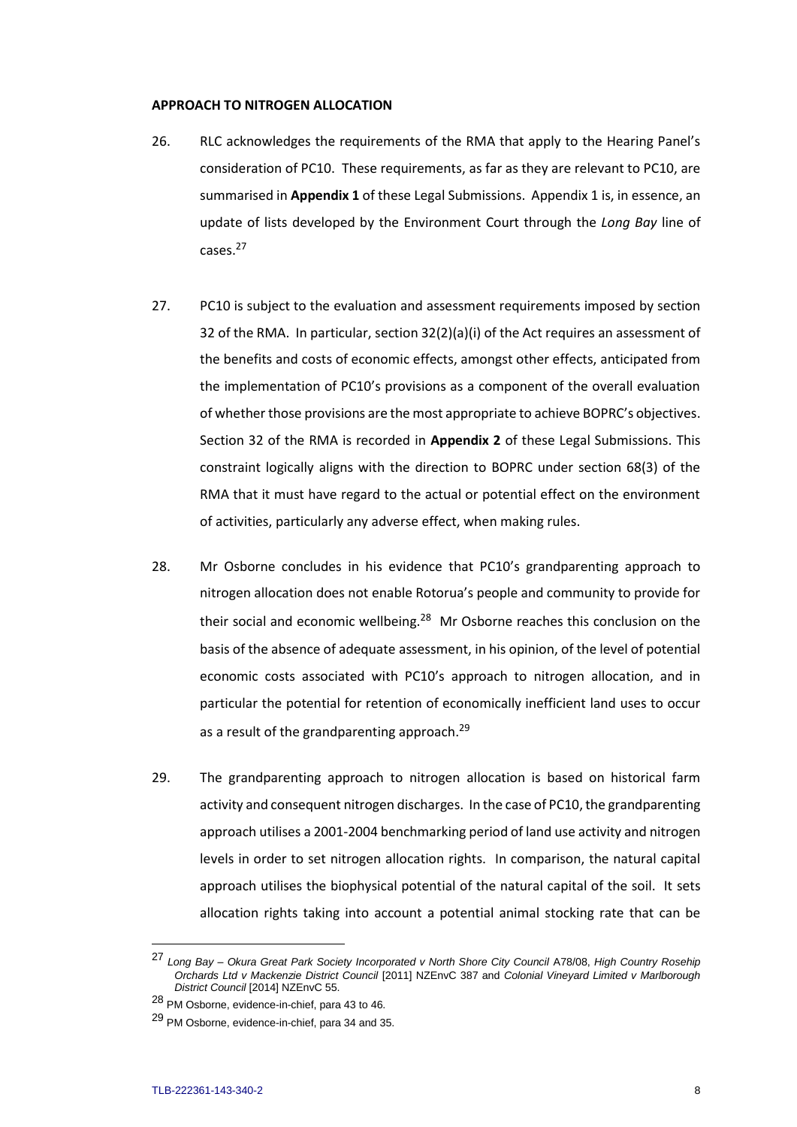#### **APPROACH TO NITROGEN ALLOCATION**

- 26. RLC acknowledges the requirements of the RMA that apply to the Hearing Panel's consideration of PC10. These requirements, as far as they are relevant to PC10, are summarised in **Appendix 1** of these Legal Submissions. Appendix 1 is, in essence, an update of lists developed by the Environment Court through the *Long Bay* line of cases.<sup>27</sup>
- 27. PC10 is subject to the evaluation and assessment requirements imposed by section 32 of the RMA. In particular, section  $32(2)(a)(i)$  of the Act requires an assessment of the benefits and costs of economic effects, amongst other effects, anticipated from the implementation of PC10's provisions as a component of the overall evaluation of whether those provisions are the most appropriate to achieve BOPRC's objectives. Section 32 of the RMA is recorded in **Appendix 2** of these Legal Submissions. This constraint logically aligns with the direction to BOPRC under section 68(3) of the RMA that it must have regard to the actual or potential effect on the environment of activities, particularly any adverse effect, when making rules.
- 28. Mr Osborne concludes in his evidence that PC10's grandparenting approach to nitrogen allocation does not enable Rotorua's people and community to provide for their social and economic wellbeing.<sup>28</sup> Mr Osborne reaches this conclusion on the basis of the absence of adequate assessment, in his opinion, of the level of potential economic costs associated with PC10's approach to nitrogen allocation, and in particular the potential for retention of economically inefficient land uses to occur as a result of the grandparenting approach.<sup>29</sup>
- 29. The grandparenting approach to nitrogen allocation is based on historical farm activity and consequent nitrogen discharges. In the case of PC10, the grandparenting approach utilises a 2001-2004 benchmarking period of land use activity and nitrogen levels in order to set nitrogen allocation rights. In comparison, the natural capital approach utilises the biophysical potential of the natural capital of the soil. It sets allocation rights taking into account a potential animal stocking rate that can be

<sup>27</sup> *Long Bay – Okura Great Park Society Incorporated v North Shore City Council* A78/08, *High Country Rosehip Orchards Ltd v Mackenzie District Council* [2011] NZEnvC 387 and *Colonial Vineyard Limited v Marlborough District Council* [2014] NZEnvC 55.

<sup>28</sup> PM Osborne, evidence-in-chief, para 43 to 46.

<sup>29</sup> PM Osborne, evidence-in-chief, para 34 and 35.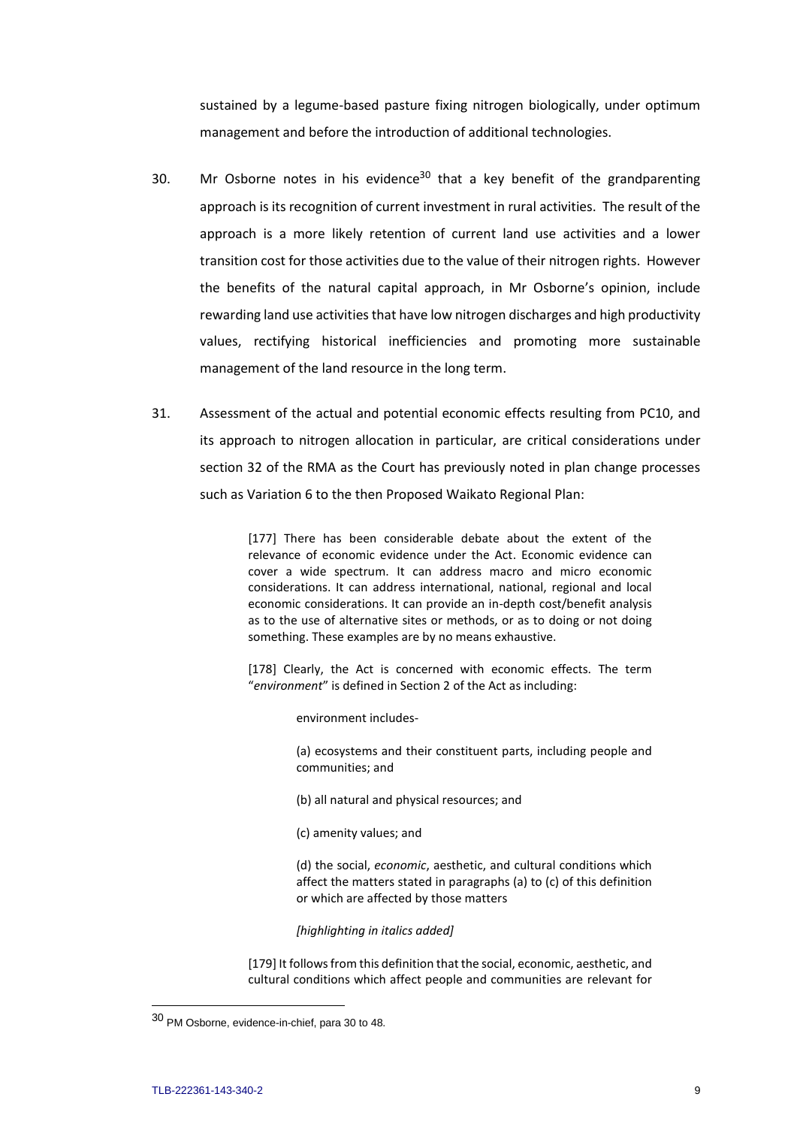sustained by a legume-based pasture fixing nitrogen biologically, under optimum management and before the introduction of additional technologies.

- 30. Mr Osborne notes in his evidence<sup>30</sup> that a key benefit of the grandparenting approach is its recognition of current investment in rural activities. The result of the approach is a more likely retention of current land use activities and a lower transition cost for those activities due to the value of their nitrogen rights. However the benefits of the natural capital approach, in Mr Osborne's opinion, include rewarding land use activities that have low nitrogen discharges and high productivity values, rectifying historical inefficiencies and promoting more sustainable management of the land resource in the long term.
- 31. Assessment of the actual and potential economic effects resulting from PC10, and its approach to nitrogen allocation in particular, are critical considerations under section 32 of the RMA as the Court has previously noted in plan change processes such as Variation 6 to the then Proposed Waikato Regional Plan:

[177] There has been considerable debate about the extent of the relevance of economic evidence under the Act. Economic evidence can cover a wide spectrum. It can address macro and micro economic considerations. It can address international, national, regional and local economic considerations. It can provide an in-depth cost/benefit analysis as to the use of alternative sites or methods, or as to doing or not doing something. These examples are by no means exhaustive.

[178] Clearly, the Act is concerned with economic effects. The term "*environment*" is defined in Section 2 of the Act as including:

environment includes-

(a) ecosystems and their constituent parts, including people and communities; and

- (b) all natural and physical resources; and
- (c) amenity values; and

(d) the social, *economic*, aesthetic, and cultural conditions which affect the matters stated in paragraphs (a) to (c) of this definition or which are affected by those matters

*[highlighting in italics added]*

[179] It follows from this definition that the social, economic, aesthetic, and cultural conditions which affect people and communities are relevant for

<sup>30</sup> PM Osborne, evidence-in-chief, para 30 to 48.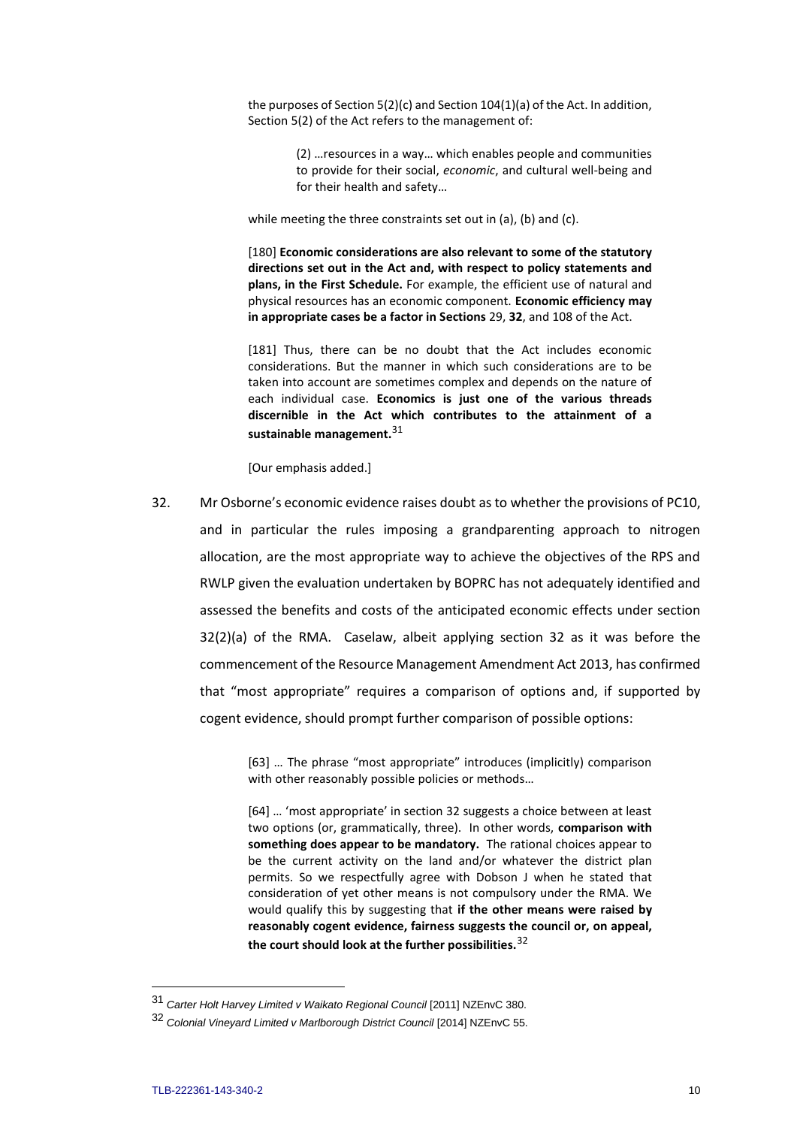the purposes of Section 5(2)(c) and Section 104(1)(a) of the Act. In addition, Section 5(2) of the Act refers to the management of:

> (2) …resources in a way… which enables people and communities to provide for their social, *economic*, and cultural well-being and for their health and safety…

while meeting the three constraints set out in (a), (b) and (c).

[180] **Economic considerations are also relevant to some of the statutory directions set out in the Act and, with respect to policy statements and plans, in the First Schedule.** For example, the efficient use of natural and physical resources has an economic component. **Economic efficiency may in appropriate cases be a factor in Sections** 29, **32**, and 108 of the Act.

[181] Thus, there can be no doubt that the Act includes economic considerations. But the manner in which such considerations are to be taken into account are sometimes complex and depends on the nature of each individual case. **Economics is just one of the various threads discernible in the Act which contributes to the attainment of a sustainable management.**<sup>31</sup>

[Our emphasis added.]

32. Mr Osborne's economic evidence raises doubt as to whether the provisions of PC10, and in particular the rules imposing a grandparenting approach to nitrogen allocation, are the most appropriate way to achieve the objectives of the RPS and RWLP given the evaluation undertaken by BOPRC has not adequately identified and assessed the benefits and costs of the anticipated economic effects under section 32(2)(a) of the RMA. Caselaw, albeit applying section 32 as it was before the commencement of the Resource Management Amendment Act 2013, has confirmed that "most appropriate" requires a comparison of options and, if supported by cogent evidence, should prompt further comparison of possible options:

> [63] … The phrase "most appropriate" introduces (implicitly) comparison with other reasonably possible policies or methods...

> [64] … 'most appropriate' in section 32 suggests a choice between at least two options (or, grammatically, three). In other words, **comparison with something does appear to be mandatory.** The rational choices appear to be the current activity on the land and/or whatever the district plan permits. So we respectfully agree with Dobson J when he stated that consideration of yet other means is not compulsory under the RMA. We would qualify this by suggesting that **if the other means were raised by reasonably cogent evidence, fairness suggests the council or, on appeal, the court should look at the further possibilities.**<sup>32</sup>

<sup>31</sup> *Carter Holt Harvey Limited v Waikato Regional Council* [2011] NZEnvC 380.

<sup>32</sup> *Colonial Vineyard Limited v Marlborough District Council* [2014] NZEnvC 55.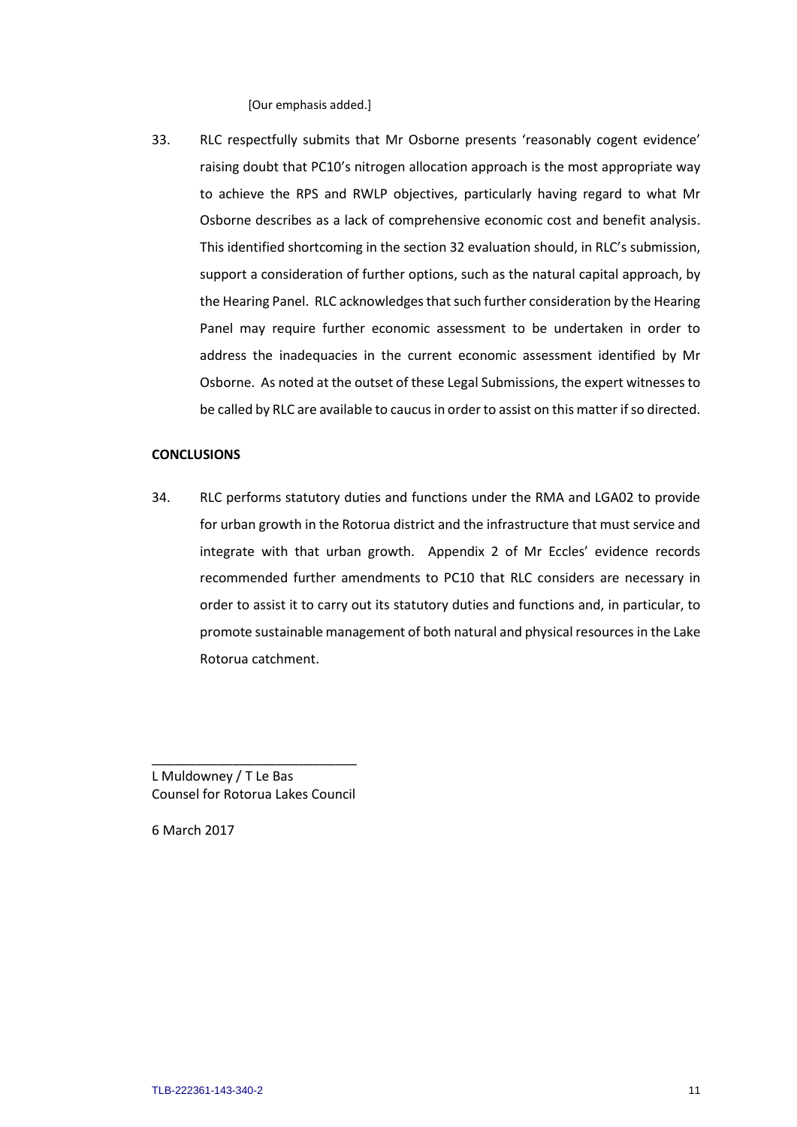[Our emphasis added.]

33. RLC respectfully submits that Mr Osborne presents 'reasonably cogent evidence' raising doubt that PC10's nitrogen allocation approach is the most appropriate way to achieve the RPS and RWLP objectives, particularly having regard to what Mr Osborne describes as a lack of comprehensive economic cost and benefit analysis. This identified shortcoming in the section 32 evaluation should, in RLC's submission, support a consideration of further options, such as the natural capital approach, by the Hearing Panel. RLC acknowledges that such further consideration by the Hearing Panel may require further economic assessment to be undertaken in order to address the inadequacies in the current economic assessment identified by Mr Osborne. As noted at the outset of these Legal Submissions, the expert witnesses to be called by RLC are available to caucus in order to assist on this matter if so directed.

#### **CONCLUSIONS**

34. RLC performs statutory duties and functions under the RMA and LGA02 to provide for urban growth in the Rotorua district and the infrastructure that must service and integrate with that urban growth. Appendix 2 of Mr Eccles' evidence records recommended further amendments to PC10 that RLC considers are necessary in order to assist it to carry out its statutory duties and functions and, in particular, to promote sustainable management of both natural and physical resources in the Lake Rotorua catchment.

\_\_\_\_\_\_\_\_\_\_\_\_\_\_\_\_\_\_\_\_\_\_\_\_\_\_\_\_ L Muldowney / T Le Bas Counsel for Rotorua Lakes Council

6 March 2017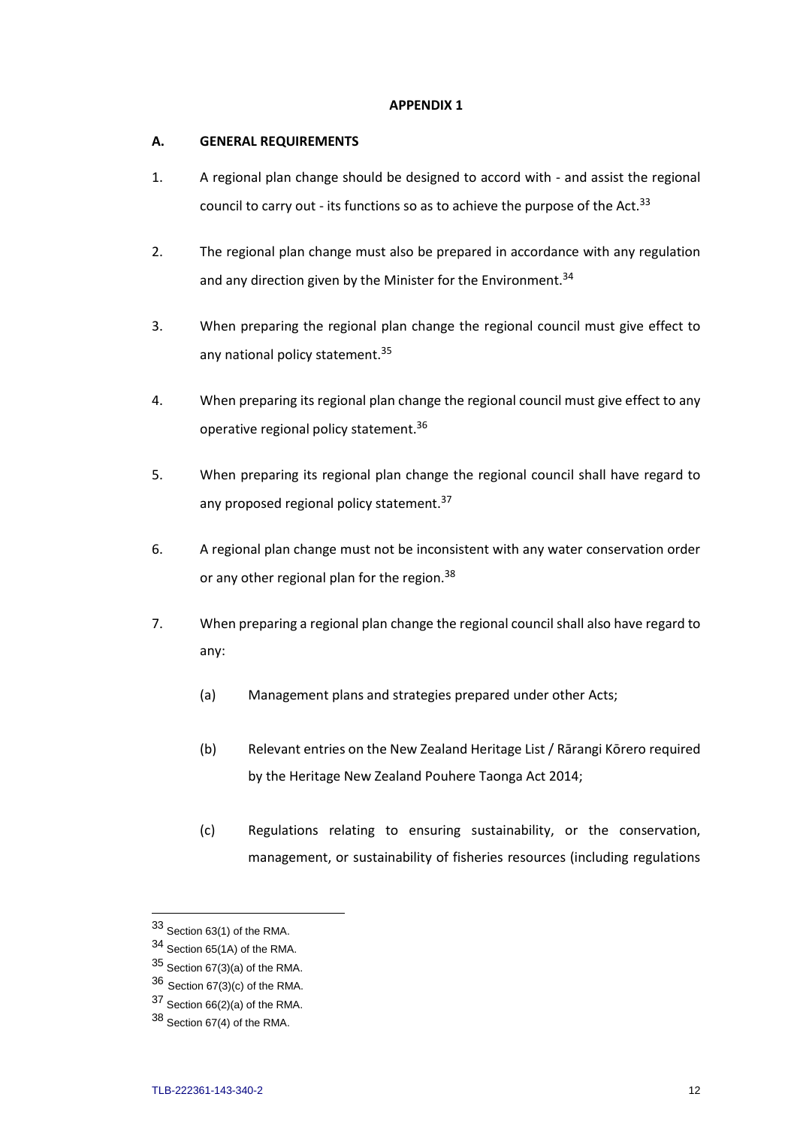### **APPENDIX 1**

### **A. GENERAL REQUIREMENTS**

- 1. A regional plan change should be designed to accord with and assist the regional council to carry out - its functions so as to achieve the purpose of the Act.<sup>33</sup>
- 2. The regional plan change must also be prepared in accordance with any regulation and any direction given by the Minister for the Environment.<sup>34</sup>
- 3. When preparing the regional plan change the regional council must give effect to any national policy statement.<sup>35</sup>
- 4. When preparing its regional plan change the regional council must give effect to any operative regional policy statement.<sup>36</sup>
- 5. When preparing its regional plan change the regional council shall have regard to any proposed regional policy statement.<sup>37</sup>
- 6. A regional plan change must not be inconsistent with any water conservation order or any other regional plan for the region.<sup>38</sup>
- 7. When preparing a regional plan change the regional council shall also have regard to any:
	- (a) Management plans and strategies prepared under other Acts;
	- (b) Relevant entries on the New Zealand Heritage List / Rārangi Kōrero required by the Heritage New Zealand Pouhere Taonga Act 2014;
	- (c) Regulations relating to ensuring sustainability, or the conservation, management, or sustainability of fisheries resources (including regulations

<sup>33</sup> Section 63(1) of the RMA.

<sup>34</sup> Section 65(1A) of the RMA.

 $35$  Section 67(3)(a) of the RMA.

<sup>36</sup> Section 67(3)(c) of the RMA.

<sup>37</sup> Section 66(2)(a) of the RMA.

<sup>38</sup> Section 67(4) of the RMA.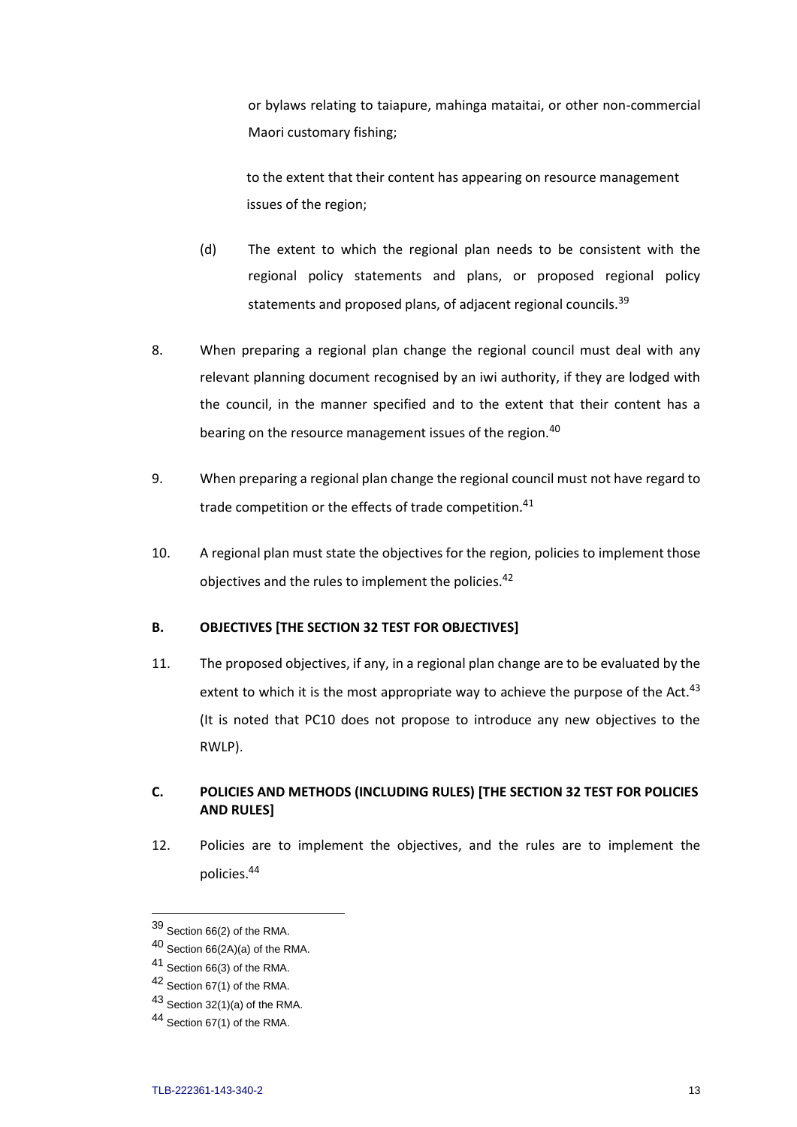or bylaws relating to taiapure, mahinga mataitai, or other non-commercial Maori customary fishing;

to the extent that their content has appearing on resource management issues of the region;

- (d) The extent to which the regional plan needs to be consistent with the regional policy statements and plans, or proposed regional policy statements and proposed plans, of adjacent regional councils.<sup>39</sup>
- 8. When preparing a regional plan change the regional council must deal with any relevant planning document recognised by an iwi authority, if they are lodged with the council, in the manner specified and to the extent that their content has a bearing on the resource management issues of the region.<sup>40</sup>
- 9. When preparing a regional plan change the regional council must not have regard to trade competition or the effects of trade competition.<sup>41</sup>
- 10. A regional plan must state the objectives for the region, policies to implement those objectives and the rules to implement the policies.<sup>42</sup>

# **B. OBJECTIVES [THE SECTION 32 TEST FOR OBJECTIVES]**

11. The proposed objectives, if any, in a regional plan change are to be evaluated by the extent to which it is the most appropriate way to achieve the purpose of the Act. $43$ (It is noted that PC10 does not propose to introduce any new objectives to the RWLP).

# **C. POLICIES AND METHODS (INCLUDING RULES) [THE SECTION 32 TEST FOR POLICIES AND RULES]**

12. Policies are to implement the objectives, and the rules are to implement the policies.<sup>44</sup>

<sup>39</sup> Section 66(2) of the RMA.

<sup>40</sup> Section 66(2A)(a) of the RMA.

<sup>41</sup> Section 66(3) of the RMA.

<sup>42</sup> Section 67(1) of the RMA.

 $43$  Section 32(1)(a) of the RMA.

<sup>44</sup> Section 67(1) of the RMA.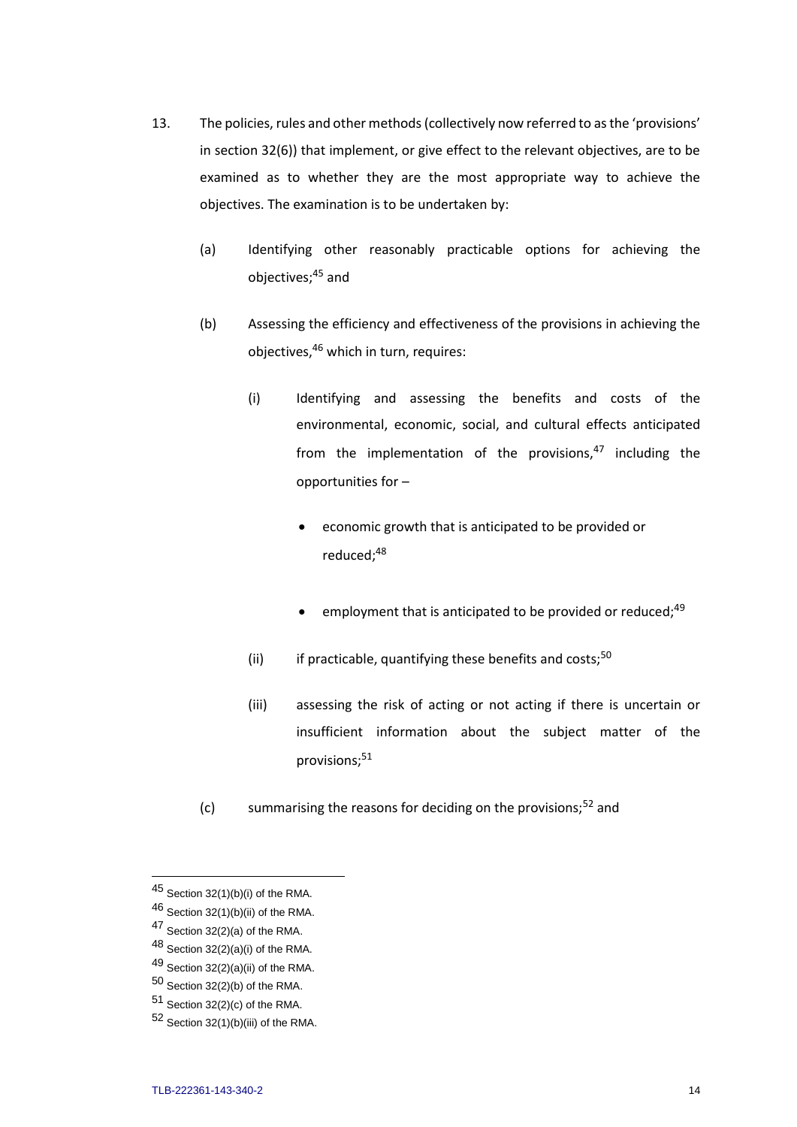- 13. The policies, rules and other methods (collectively now referred to as the 'provisions' in section 32(6)) that implement, or give effect to the relevant objectives, are to be examined as to whether they are the most appropriate way to achieve the objectives. The examination is to be undertaken by:
	- (a) Identifying other reasonably practicable options for achieving the objectives;<sup>45</sup> and
	- (b) Assessing the efficiency and effectiveness of the provisions in achieving the objectives,<sup>46</sup> which in turn, requires:
		- (i) Identifying and assessing the benefits and costs of the environmental, economic, social, and cultural effects anticipated from the implementation of the provisions, $47$  including the opportunities for –
			- economic growth that is anticipated to be provided or reduced;<sup>48</sup>
			- employment that is anticipated to be provided or reduced:<sup>49</sup>
		- (ii) if practicable, quantifying these benefits and costs; $50$
		- (iii) assessing the risk of acting or not acting if there is uncertain or insufficient information about the subject matter of the provisions;<sup>51</sup>
	- (c) summarising the reasons for deciding on the provisions;<sup>52</sup> and

 $48$  Section 32(2)(a)(i) of the RMA.

 $50$  Section 32(2)(b) of the RMA.

 $45$  Section 32(1)(b)(i) of the RMA.

 $46$  Section 32(1)(b)(ii) of the RMA.

<sup>47</sup> Section 32(2)(a) of the RMA.

 $49$  Section 32(2)(a)(ii) of the RMA.

 $51$  Section 32(2)(c) of the RMA.

<sup>52</sup> Section 32(1)(b)(iii) of the RMA.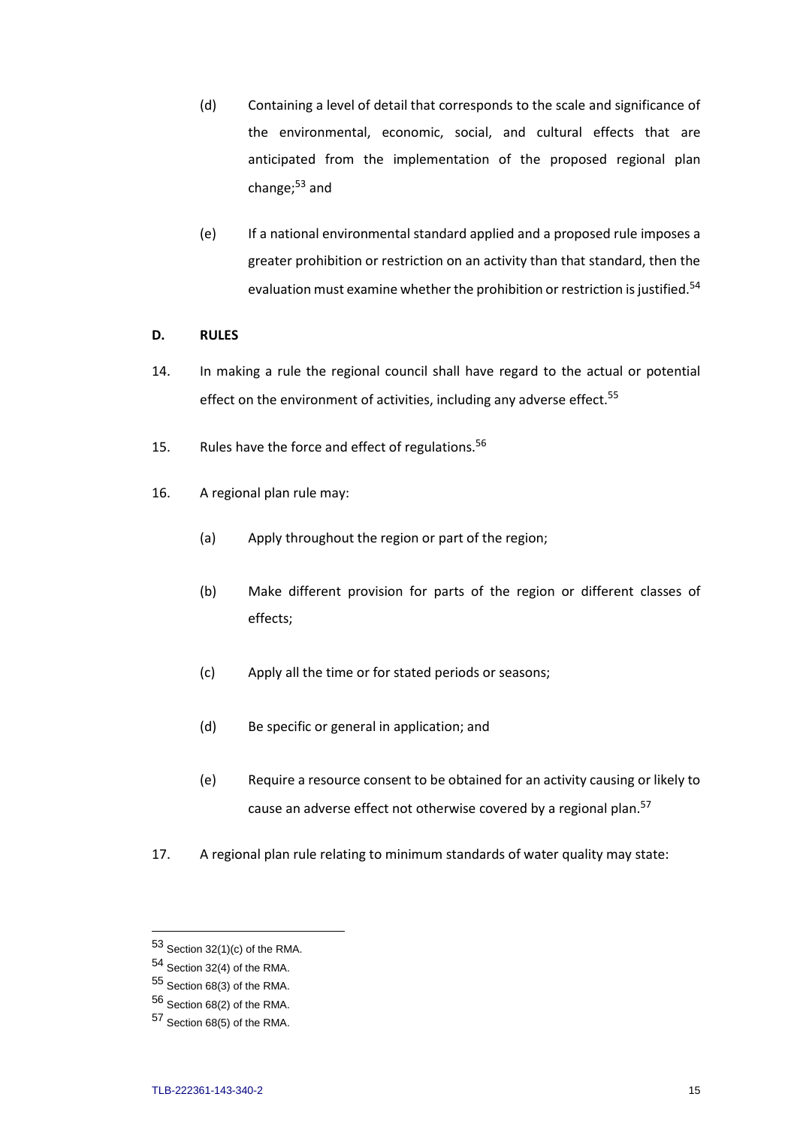- (d) Containing a level of detail that corresponds to the scale and significance of the environmental, economic, social, and cultural effects that are anticipated from the implementation of the proposed regional plan change; $53$  and
- (e) If a national environmental standard applied and a proposed rule imposes a greater prohibition or restriction on an activity than that standard, then the evaluation must examine whether the prohibition or restriction is justified.<sup>54</sup>

# **D. RULES**

- 14. In making a rule the regional council shall have regard to the actual or potential effect on the environment of activities, including any adverse effect.<sup>55</sup>
- 15. Rules have the force and effect of regulations.<sup>56</sup>
- 16. A regional plan rule may:
	- (a) Apply throughout the region or part of the region;
	- (b) Make different provision for parts of the region or different classes of effects;
	- (c) Apply all the time or for stated periods or seasons;
	- (d) Be specific or general in application; and
	- (e) Require a resource consent to be obtained for an activity causing or likely to cause an adverse effect not otherwise covered by a regional plan.<sup>57</sup>
- 17. A regional plan rule relating to minimum standards of water quality may state:

 $53$  Section 32(1)(c) of the RMA.

<sup>54</sup> Section 32(4) of the RMA.

<sup>55</sup> Section 68(3) of the RMA.

<sup>56</sup> Section 68(2) of the RMA.

<sup>57</sup> Section 68(5) of the RMA.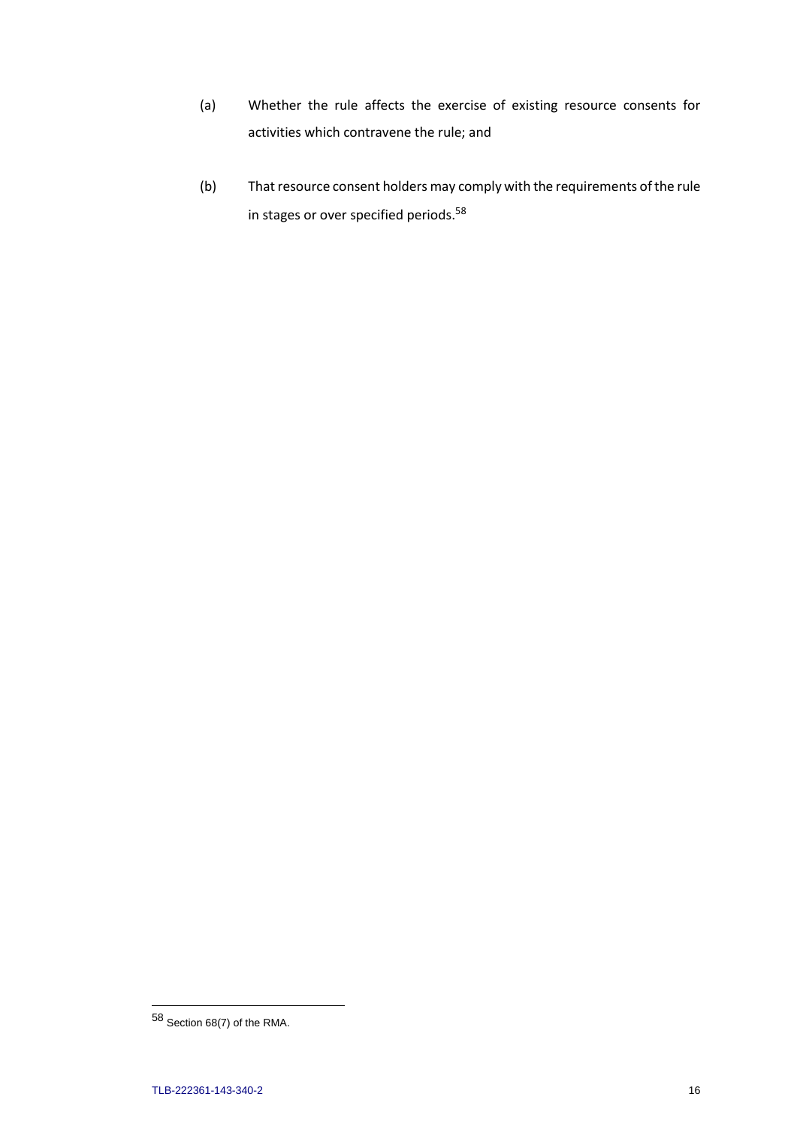- (a) Whether the rule affects the exercise of existing resource consents for activities which contravene the rule; and
- (b) That resource consent holders may comply with the requirements of the rule in stages or over specified periods.<sup>58</sup>

 $58$  Section 68(7) of the RMA.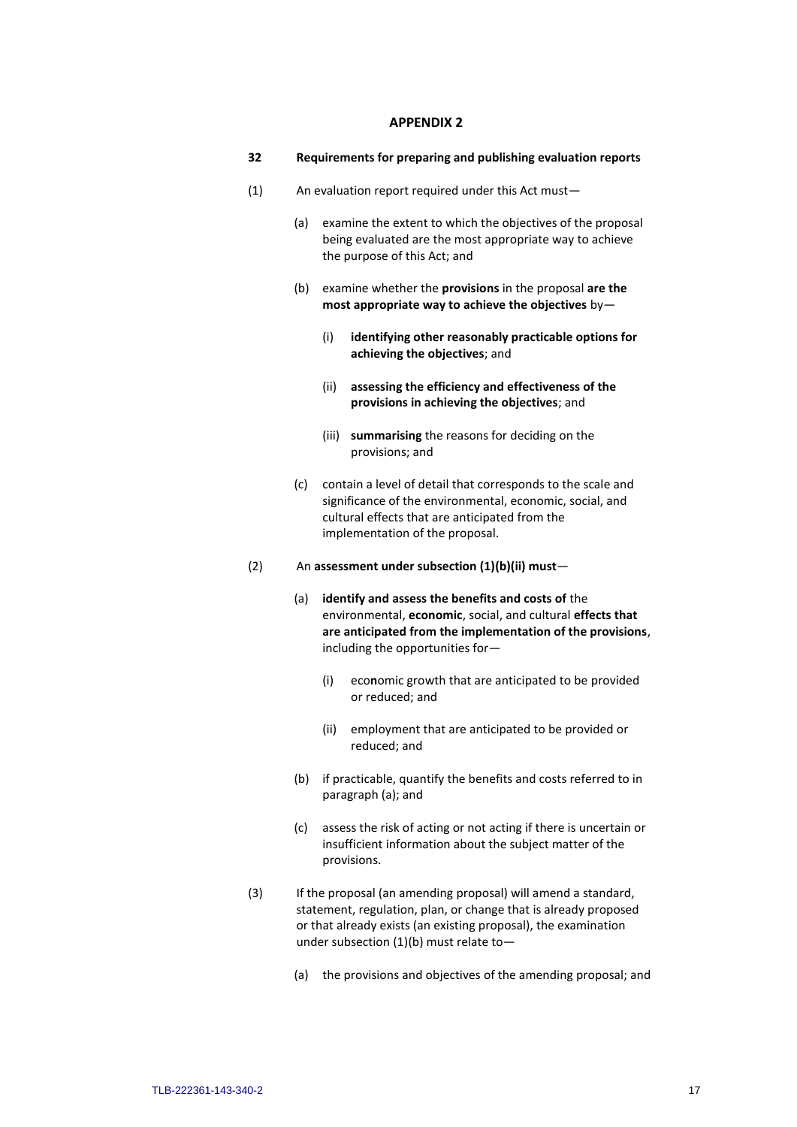#### **APPENDIX 2**

- **32 Requirements for preparing and publishing evaluation reports**
- (1) An evaluation report required under this Act must—
	- (a) examine the extent to which the objectives of the proposal being evaluated are the most appropriate way to achieve the purpose of this Act; and
	- (b) examine whether the **provisions** in the proposal **are the most appropriate way to achieve the objectives** by—
		- (i) **identifying other reasonably practicable options for achieving the objectives**; and
		- (ii) **assessing the efficiency and effectiveness of the provisions in achieving the objectives**; and
		- (iii) **summarising** the reasons for deciding on the provisions; and
	- (c) contain a level of detail that corresponds to the scale and significance of the environmental, economic, social, and cultural effects that are anticipated from the implementation of the proposal.
- (2) An **assessment under subsection (1)(b)(ii) must**
	- (a) **identify and assess the benefits and costs of** the environmental, **economic**, social, and cultural **effects that are anticipated from the implementation of the provisions**, including the opportunities for—
		- (i) eco**n**omic growth that are anticipated to be provided or reduced; and
		- (ii) employment that are anticipated to be provided or reduced; and
	- (b) if practicable, quantify the benefits and costs referred to in paragraph (a); and
	- (c) assess the risk of acting or not acting if there is uncertain or insufficient information about the subject matter of the provisions.
- (3) If the proposal (an amending proposal) will amend a standard, statement, regulation, plan, or change that is already proposed or that already exists (an existing proposal), the examination under subsection (1)(b) must relate to—
	- (a) the provisions and objectives of the amending proposal; and